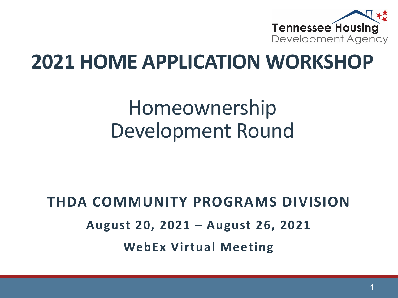

## **2021 HOME APPLICATION WORKSHOP**

# Homeownership Development Round

#### **THDA COMMUNITY PROGRAMS DIVISION**

**August 20, 2021 – August 26, 2021** 

**WebEx Virtual Meeting**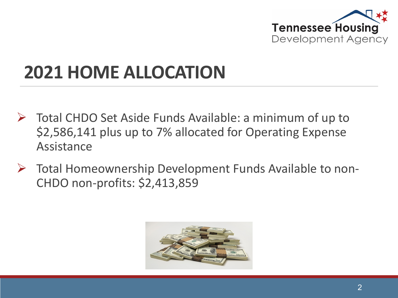

# **2021 HOME ALLOCATION**

- $\triangleright$  Total CHDO Set Aside Funds Available: a minimum of up to \$2,586,141 plus up to 7% allocated for Operating Expense Assistance
- $\triangleright$  Total Homeownership Development Funds Available to non-CHDO non-profits: \$2,413,859

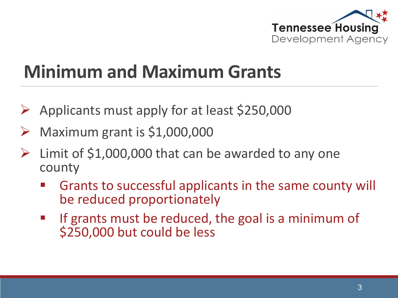

## **Minimum and Maximum Grants**

- $\triangleright$  Applicants must apply for at least \$250,000
- Maximum grant is \$1,000,000
- $\triangleright$  Limit of \$1,000,000 that can be awarded to any one county
	- Grants to successful applicants in the same county will be reduced proportionately
	- If grants must be reduced, the goal is a minimum of \$250,000 but could be less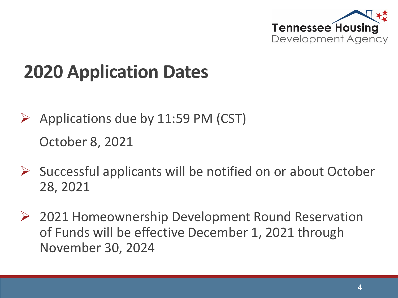

# **2020 Application Dates**

- $\triangleright$  Applications due by 11:59 PM (CST) October 8, 2021
- $\triangleright$  Successful applicants will be notified on or about October 28, 2021
- 2021 Homeownership Development Round Reservation of Funds will be effective December 1, 2021 through November 30, 2024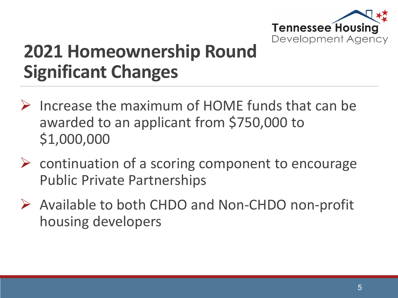

### **2021 Homeownership Round Significant Changes**

- $\triangleright$  Increase the maximum of HOME funds that can be awarded to an applicant from \$750,000 to \$1,000,000
- $\triangleright$  continuation of a scoring component to encourage Public Private Partnerships
- Available to both CHDO and Non-CHDO non-profit housing developers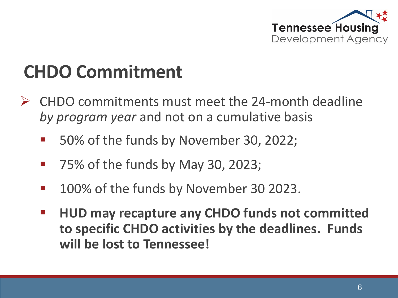

### **CHDO Commitment**

- CHDO commitments must meet the 24-month deadline *by program year* and not on a cumulative basis
	- 50% of the funds by November 30, 2022;
	- 75% of the funds by May 30, 2023;
	- 100% of the funds by November 30 2023.
	- **HUD may recapture any CHDO funds not committed to specific CHDO activities by the deadlines. Funds will be lost to Tennessee!**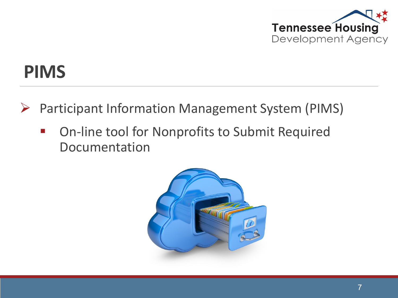

#### **PIMS**

- $\triangleright$  Participant Information Management System (PIMS)
	- On-line tool for Nonprofits to Submit Required Documentation

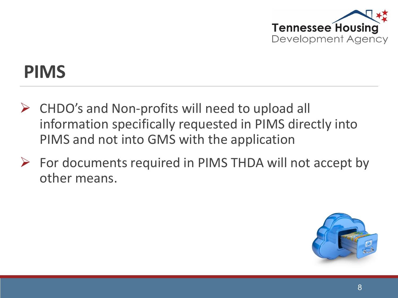

#### **PIMS**

- $\triangleright$  CHDO's and Non-profits will need to upload all information specifically requested in PIMS directly into PIMS and not into GMS with the application
- $\triangleright$  For documents required in PIMS THDA will not accept by other means.

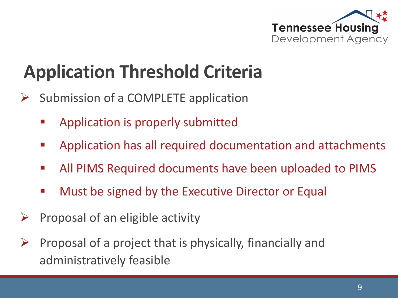

# **Application Threshold Criteria**

- $\triangleright$  Submission of a COMPLETE application
	- Application is properly submitted
	- Application has all required documentation and attachments
	- All PIMS Required documents have been uploaded to PIMS
	- **Nust be signed by the Executive Director or Equal**
- $\triangleright$  Proposal of an eligible activity
- Proposal of a project that is physically, financially and administratively feasible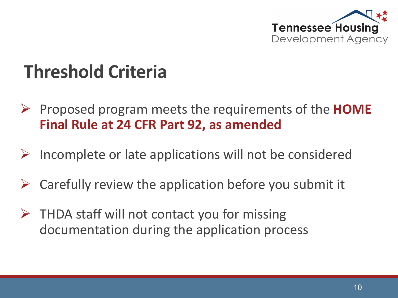

## **Threshold Criteria**

- Proposed program meets the requirements of the **HOME Final Rule at 24 CFR Part 92, as amended**
- Incomplete or late applications will not be considered
- Carefully review the application before you submit it
- $\triangleright$  THDA staff will not contact you for missing documentation during the application process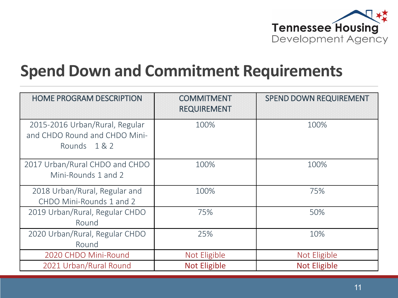

#### **Spend Down and Commitment Requirements**

| <b>HOME PROGRAM DESCRIPTION</b>                                               | <b>COMMITMENT</b><br><b>REQUIREMENT</b> | <b>SPEND DOWN REQUIREMENT</b> |
|-------------------------------------------------------------------------------|-----------------------------------------|-------------------------------|
| 2015-2016 Urban/Rural, Regular<br>and CHDO Round and CHDO Mini-<br>Rounds 1&2 | 100%                                    | 100%                          |
| 2017 Urban/Rural CHDO and CHDO<br>Mini-Rounds 1 and 2                         | 100%                                    | 100%                          |
| 2018 Urban/Rural, Regular and<br>CHDO Mini-Rounds 1 and 2                     | 100%                                    | 75%                           |
| 2019 Urban/Rural, Regular CHDO<br>Round                                       | 75%                                     | 50%                           |
| 2020 Urban/Rural, Regular CHDO<br>Round                                       | 25%                                     | 10%                           |
| 2020 CHDO Mini-Round                                                          | Not Eligible                            | Not Eligible                  |
| 2021 Urban/Rural Round                                                        | <b>Not Eligible</b>                     | <b>Not Eligible</b>           |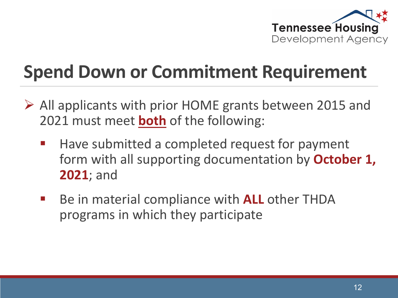

# **Spend Down or Commitment Requirement**

- $\triangleright$  All applicants with prior HOME grants between 2015 and 2021 must meet **both** of the following:
	- Have submitted a completed request for payment form with all supporting documentation by **October 1, 2021**; and
	- **Be in material compliance with ALL other THDA** programs in which they participate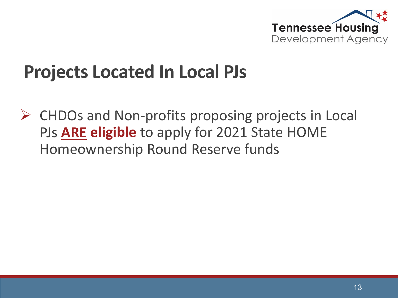

#### **Projects Located In Local PJs**

 CHDOs and Non-profits proposing projects in Local PJs **ARE eligible** to apply for 2021 State HOME Homeownership Round Reserve funds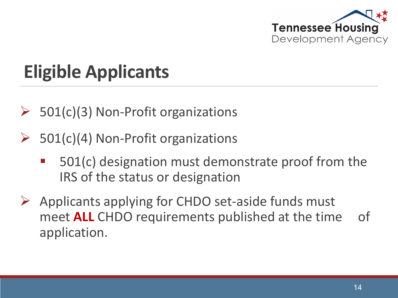

# **Eligible Applicants**

- 501(c)(3) Non-Profit organizations
- $\triangleright$  501(c)(4) Non-Profit organizations
	- 501(c) designation must demonstrate proof from the IRS of the status or designation
- $\triangleright$  Applicants applying for CHDO set-aside funds must meet **ALL** CHDO requirements published at the time of application.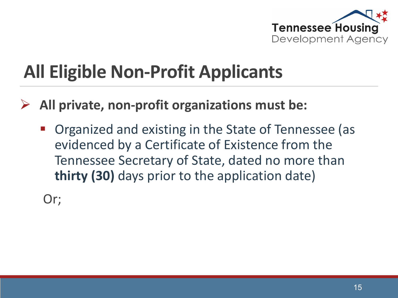

- **All private, non-profit organizations must be:**
	- Organized and existing in the State of Tennessee (as evidenced by a Certificate of Existence from the Tennessee Secretary of State, dated no more than **thirty (30)** days prior to the application date)

Or;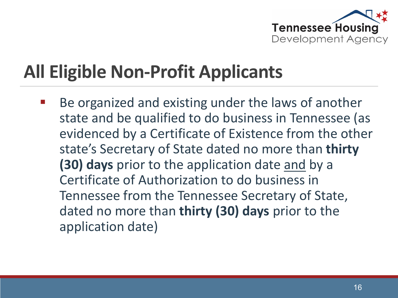

 Be organized and existing under the laws of another state and be qualified to do business in Tennessee (as evidenced by a Certificate of Existence from the other state's Secretary of State dated no more than **thirty (30) days** prior to the application date and by a Certificate of Authorization to do business in Tennessee from the Tennessee Secretary of State, dated no more than **thirty (30) days** prior to the application date)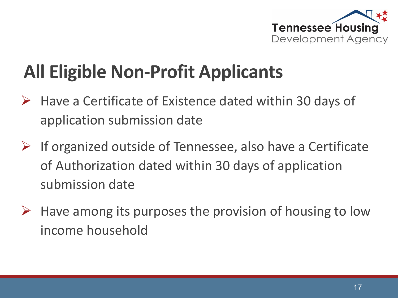

- $\triangleright$  Have a Certificate of Existence dated within 30 days of application submission date
- $\triangleright$  If organized outside of Tennessee, also have a Certificate of Authorization dated within 30 days of application submission date
- $\triangleright$  Have among its purposes the provision of housing to low income household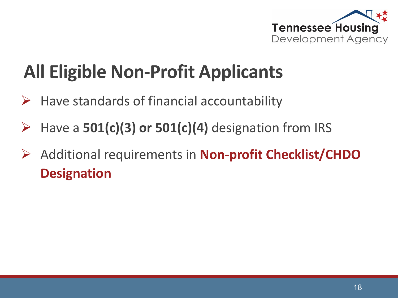

- $\triangleright$  Have standards of financial accountability
- Have a **501(c)(3) or 501(c)(4)** designation from IRS
- Additional requirements in **Non-profit Checklist/CHDO Designation**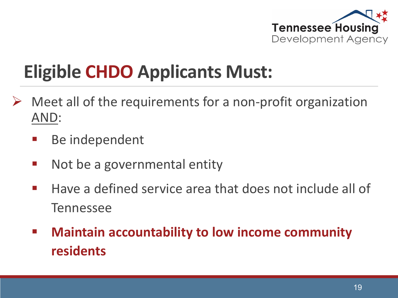

## **Eligible CHDO Applicants Must:**

- Meet all of the requirements for a non-profit organization AND:
	- **Be independent**
	- Not be a governmental entity
	- $\blacksquare$  Have a defined service area that does not include all of **Tennessee**
	- **Maintain accountability to low income community residents**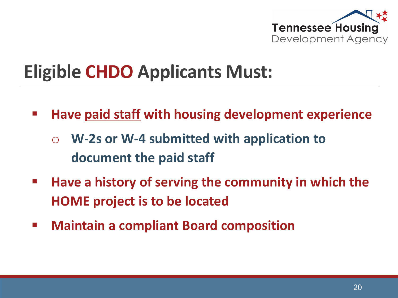

## **Eligible CHDO Applicants Must:**

- **Have paid staff with housing development experience**
	- o **W-2s or W-4 submitted with application to document the paid staff**
- **Have a history of serving the community in which the HOME project is to be located**
- **Maintain a compliant Board composition**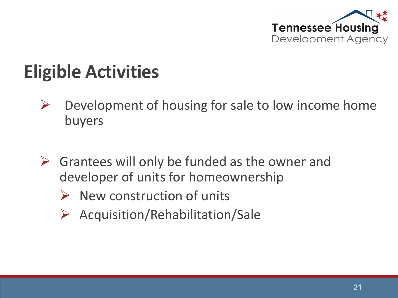

# **Eligible Activities**

- $\triangleright$  Development of housing for sale to low income home buyers
- $\triangleright$  Grantees will only be funded as the owner and developer of units for homeownership
	- $\triangleright$  New construction of units
	- $\triangleright$  Acquisition/Rehabilitation/Sale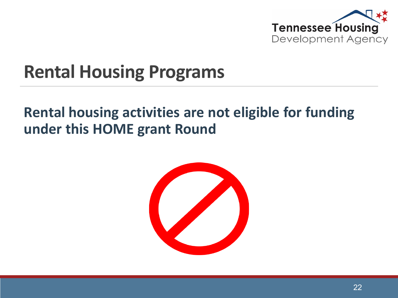

#### **Rental Housing Programs**

#### **Rental housing activities are not eligible for funding under this HOME grant Round**

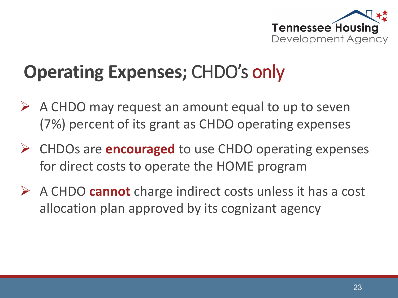

## **Operating Expenses;** CHDO's only

- $\triangleright$  A CHDO may request an amount equal to up to seven (7%) percent of its grant as CHDO operating expenses
- CHDOs are **encouraged** to use CHDO operating expenses for direct costs to operate the HOME program
- A CHDO **cannot** charge indirect costs unless it has a cost allocation plan approved by its cognizant agency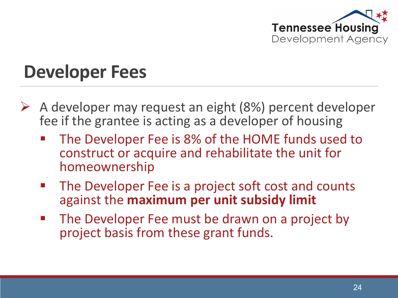

#### **Developer Fees**

- $\triangleright$  A developer may request an eight (8%) percent developer fee if the grantee is acting as a developer of housing
	- The Developer Fee is 8% of the HOME funds used to construct or acquire and rehabilitate the unit for homeownership
	- **The Developer Fee is a project soft cost and counts** against the **maximum per unit subsidy limit**
	- The Developer Fee must be drawn on a project by project basis from these grant funds.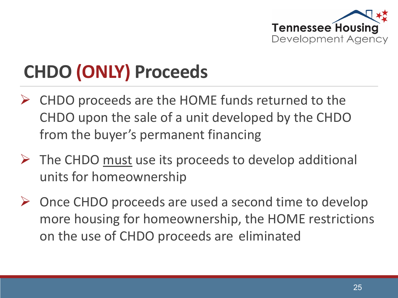

# **CHDO (ONLY) Proceeds**

- CHDO proceeds are the HOME funds returned to the CHDO upon the sale of a unit developed by the CHDO from the buyer's permanent financing
- $\triangleright$  The CHDO must use its proceeds to develop additional units for homeownership
- $\triangleright$  Once CHDO proceeds are used a second time to develop more housing for homeownership, the HOME restrictions on the use of CHDO proceeds are eliminated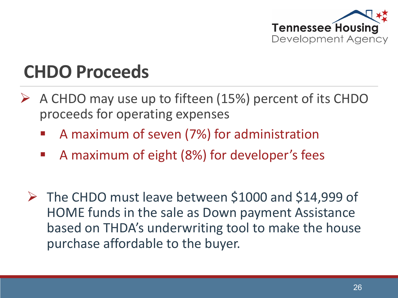

#### **CHDO Proceeds**

- A CHDO may use up to fifteen (15%) percent of its CHDO proceeds for operating expenses
	- A maximum of seven (7%) for administration
	- A maximum of eight (8%) for developer's fees
	- $\triangleright$  The CHDO must leave between \$1000 and \$14,999 of HOME funds in the sale as Down payment Assistance based on THDA's underwriting tool to make the house purchase affordable to the buyer.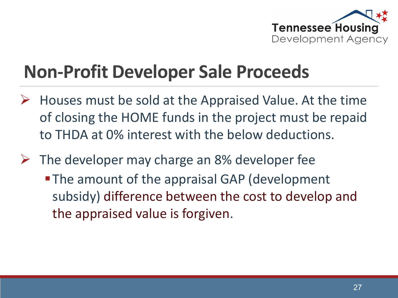

## **Non-Profit Developer Sale Proceeds**

- $\triangleright$  Houses must be sold at the Appraised Value. At the time of closing the HOME funds in the project must be repaid to THDA at 0% interest with the below deductions.
- $\triangleright$  The developer may charge an 8% developer fee
	- **-The amount of the appraisal GAP (development** subsidy) difference between the cost to develop and the appraised value is forgiven.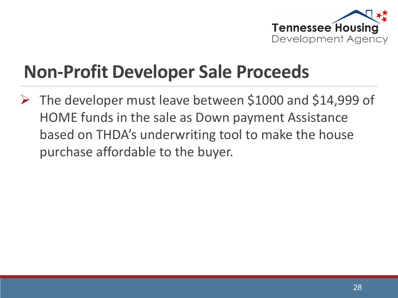

## **Non-Profit Developer Sale Proceeds**

 The developer must leave between \$1000 and \$14,999 of HOME funds in the sale as Down payment Assistance based on THDA's underwriting tool to make the house purchase affordable to the buyer.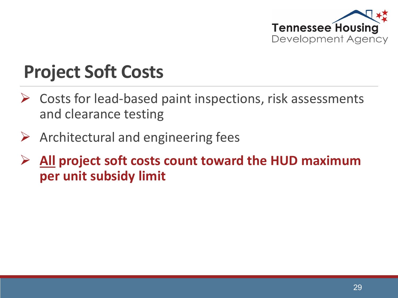

## **Project Soft Costs**

- Costs for lead-based paint inspections, risk assessments and clearance testing
- $\triangleright$  Architectural and engineering fees
- **All project soft costs count toward the HUD maximum per unit subsidy limit**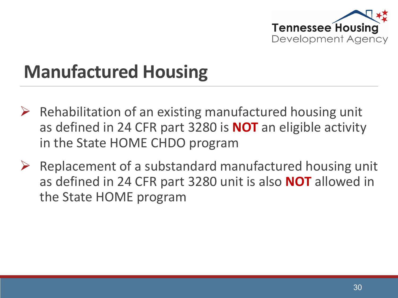

### **Manufactured Housing**

- $\triangleright$  Rehabilitation of an existing manufactured housing unit as defined in 24 CFR part 3280 is **NOT** an eligible activity in the State HOME CHDO program
- $\triangleright$  Replacement of a substandard manufactured housing unit as defined in 24 CFR part 3280 unit is also **NOT** allowed in the State HOME program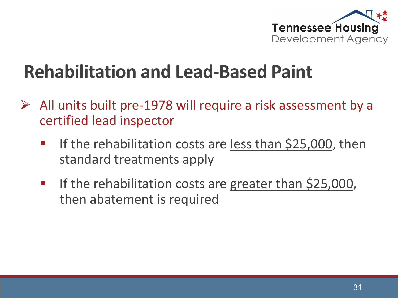

#### **Rehabilitation and Lead-Based Paint**

- $\triangleright$  All units built pre-1978 will require a risk assessment by a certified lead inspector
	- **If the rehabilitation costs are less than \$25,000, then** standard treatments apply
	- **If the rehabilitation costs are greater than \$25,000,** then abatement is required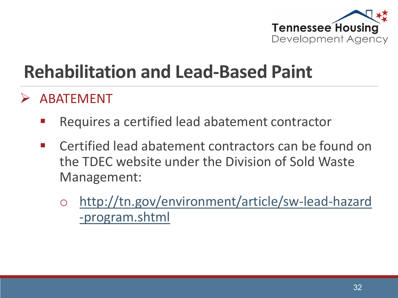

#### **Rehabilitation and Lead-Based Paint**

#### ABATEMENT

- Requires a certified lead abatement contractor
- Certified lead abatement contractors can be found on the TDEC website under the Division of Sold Waste Management:
	- o [http://tn.gov/environment/article/sw-lead-hazard](http://tn.gov/environment/article/sw-lead-hazard%20-program.shtml) -program.shtml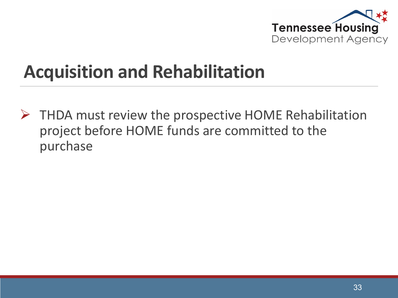

#### **Acquisition and Rehabilitation**

 $\triangleright$  THDA must review the prospective HOME Rehabilitation project before HOME funds are committed to the purchase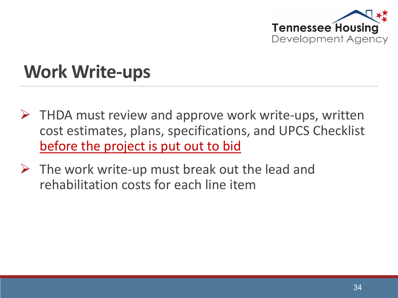

#### **Work Write-ups**

- $\triangleright$  THDA must review and approve work write-ups, written cost estimates, plans, specifications, and UPCS Checklist before the project is put out to bid
- $\triangleright$  The work write-up must break out the lead and rehabilitation costs for each line item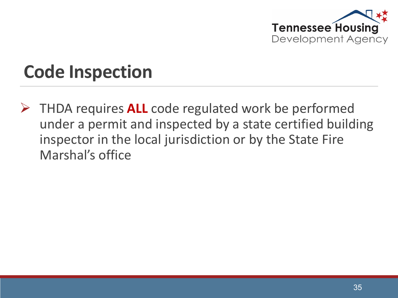

# **Code Inspection**

 THDA requires **ALL** code regulated work be performed under a permit and inspected by a state certified building inspector in the local jurisdiction or by the State Fire Marshal's office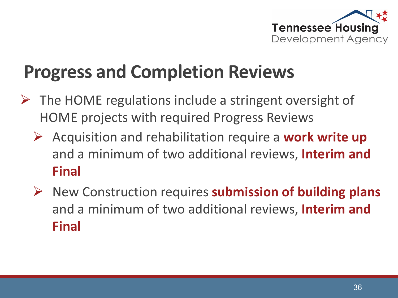

# **Progress and Completion Reviews**

- The HOME regulations include a stringent oversight of HOME projects with required Progress Reviews
	- Acquisition and rehabilitation require a **work write up**  and a minimum of two additional reviews, **Interim and Final**
	- New Construction requires **submission of building plans**  and a minimum of two additional reviews, **Interim and Final**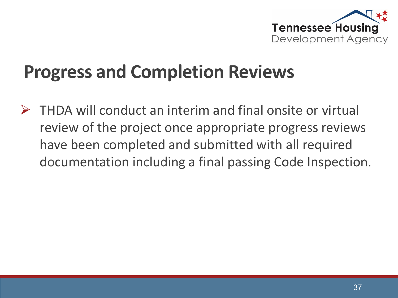

# **Progress and Completion Reviews**

 $\triangleright$  THDA will conduct an interim and final onsite or virtual review of the project once appropriate progress reviews have been completed and submitted with all required documentation including a final passing Code Inspection.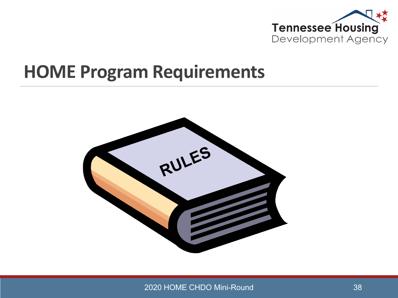

#### **HOME Program Requirements**



2020 HOME CHDO Mini-Round 38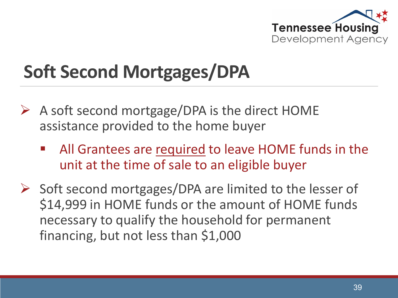

# **Soft Second Mortgages/DPA**

- $\triangleright$  A soft second mortgage/DPA is the direct HOME assistance provided to the home buyer
	- All Grantees are required to leave HOME funds in the unit at the time of sale to an eligible buyer
- $\triangleright$  Soft second mortgages/DPA are limited to the lesser of \$14,999 in HOME funds or the amount of HOME funds necessary to qualify the household for permanent financing, but not less than \$1,000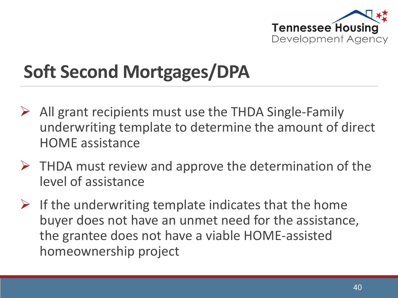

# **Soft Second Mortgages/DPA**

- $\triangleright$  All grant recipients must use the THDA Single-Family underwriting template to determine the amount of direct HOME assistance
- $\triangleright$  THDA must review and approve the determination of the level of assistance
- $\triangleright$  If the underwriting template indicates that the home buyer does not have an unmet need for the assistance, the grantee does not have a viable HOME-assisted homeownership project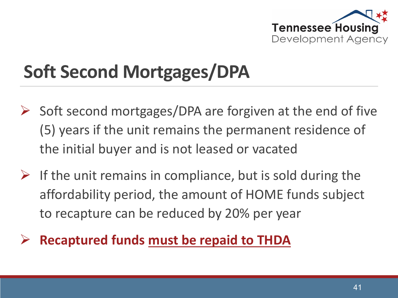

# **Soft Second Mortgages/DPA**

- $\triangleright$  Soft second mortgages/DPA are forgiven at the end of five (5) years if the unit remains the permanent residence of the initial buyer and is not leased or vacated
- $\triangleright$  If the unit remains in compliance, but is sold during the affordability period, the amount of HOME funds subject to recapture can be reduced by 20% per year
- **Recaptured funds must be repaid to THDA**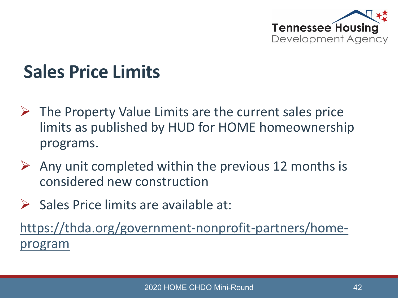

### **Sales Price Limits**

- $\triangleright$  The Property Value Limits are the current sales price limits as published by HUD for HOME homeownership programs.
- $\triangleright$  Any unit completed within the previous 12 months is considered new construction
- $\triangleright$  Sales Price limits are available at:

[https://thda.org/government-nonprofit-partners/home](https://thda.org/government-nonprofit-partners/home-program)program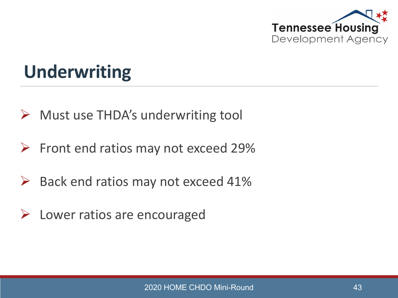

## **Underwriting**

- $\triangleright$  Must use THDA's underwriting tool
- $\triangleright$  Front end ratios may not exceed 29%
- $\triangleright$  Back end ratios may not exceed 41%
- $\triangleright$  Lower ratios are encouraged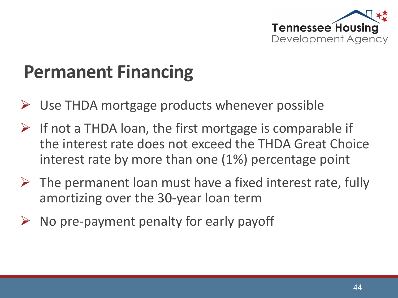

# **Permanent Financing**

- Use THDA mortgage products whenever possible
- $\triangleright$  If not a THDA loan, the first mortgage is comparable if the interest rate does not exceed the THDA Great Choice interest rate by more than one (1%) percentage point
- $\triangleright$  The permanent loan must have a fixed interest rate, fully amortizing over the 30-year loan term
- No pre-payment penalty for early payoff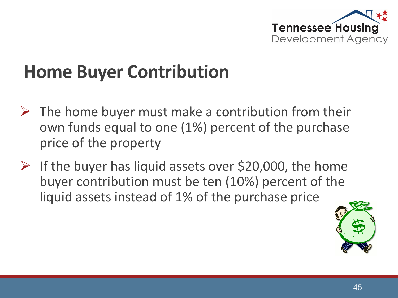

# **Home Buyer Contribution**

- $\triangleright$  The home buyer must make a contribution from their own funds equal to one (1%) percent of the purchase price of the property
- $\triangleright$  If the buyer has liquid assets over \$20,000, the home buyer contribution must be ten (10%) percent of the liquid assets instead of 1% of the purchase price

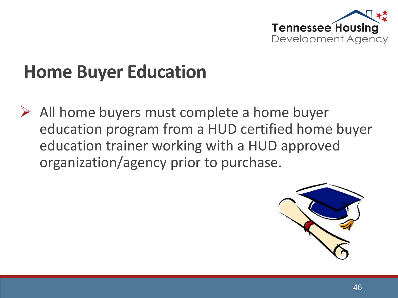

### **Home Buyer Education**

 $\triangleright$  All home buyers must complete a home buyer education program from a HUD certified home buyer education trainer working with a HUD approved organization/agency prior to purchase.

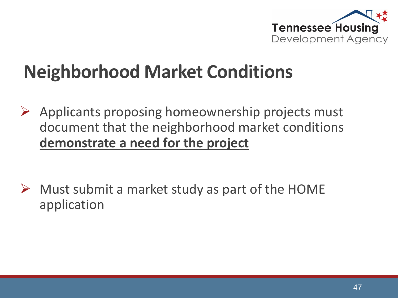

# **Neighborhood Market Conditions**

 $\triangleright$  Applicants proposing homeownership projects must document that the neighborhood market conditions **demonstrate a need for the project**

 $\triangleright$  Must submit a market study as part of the HOME application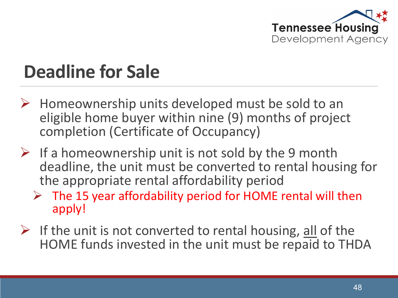

## **Deadline for Sale**

- $\triangleright$  Homeownership units developed must be sold to an eligible home buyer within nine (9) months of project completion (Certificate of Occupancy)
- $\triangleright$  If a homeownership unit is not sold by the 9 month deadline, the unit must be converted to rental housing for the appropriate rental affordability period
	- $\triangleright$  The 15 year affordability period for HOME rental will then apply!
- $\triangleright$  If the unit is not converted to rental housing, all of the HOME funds invested in the unit must be repaid to THDA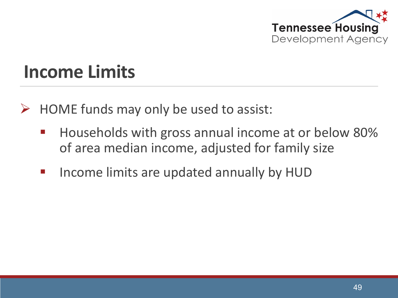

#### **Income Limits**

- $\triangleright$  HOME funds may only be used to assist:
	- **Households with gross annual income at or below 80%** of area median income, adjusted for family size
	- **Income limits are updated annually by HUD**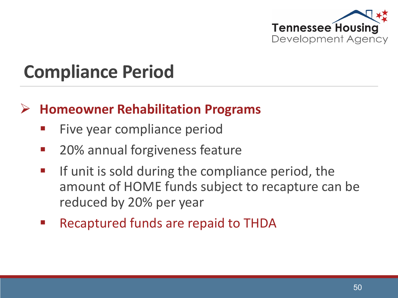

### **Compliance Period**

#### **Homeowner Rehabilitation Programs**

- Five year compliance period
- 20% annual forgiveness feature
- **If unit is sold during the compliance period, the** amount of HOME funds subject to recapture can be reduced by 20% per year
- Recaptured funds are repaid to THDA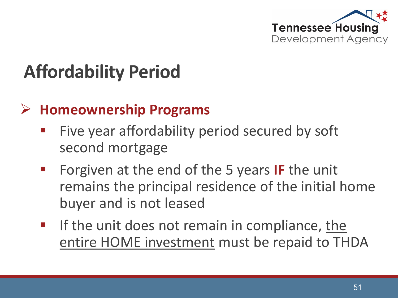

# **Affordability Period**

#### **Homeownership Programs**

- Five year affordability period secured by soft second mortgage
- **Forgiven at the end of the 5 years IF the unit** remains the principal residence of the initial home buyer and is not leased
- If the unit does not remain in compliance, the entire HOME investment must be repaid to THDA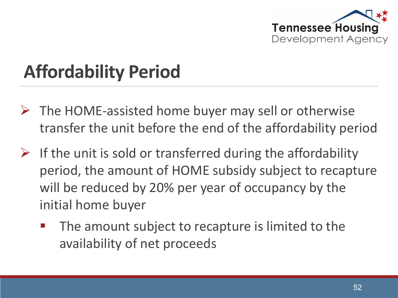

# **Affordability Period**

- $\triangleright$  The HOME-assisted home buyer may sell or otherwise transfer the unit before the end of the affordability period
- $\triangleright$  If the unit is sold or transferred during the affordability period, the amount of HOME subsidy subject to recapture will be reduced by 20% per year of occupancy by the initial home buyer
	- The amount subject to recapture is limited to the availability of net proceeds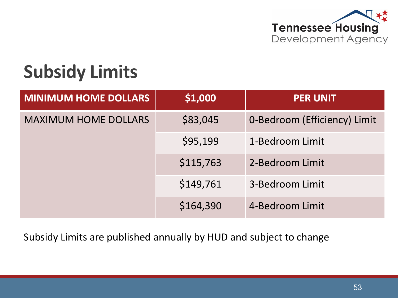

## **Subsidy Limits**

| <b>MINIMUM HOME DOLLARS</b> | \$1,000   | <b>PER UNIT</b>              |
|-----------------------------|-----------|------------------------------|
| <b>MAXIMUM HOME DOLLARS</b> | \$83,045  | 0-Bedroom (Efficiency) Limit |
|                             | \$95,199  | 1-Bedroom Limit              |
|                             | \$115,763 | 2-Bedroom Limit              |
|                             | \$149,761 | 3-Bedroom Limit              |
|                             | \$164,390 | 4-Bedroom Limit              |

Subsidy Limits are published annually by HUD and subject to change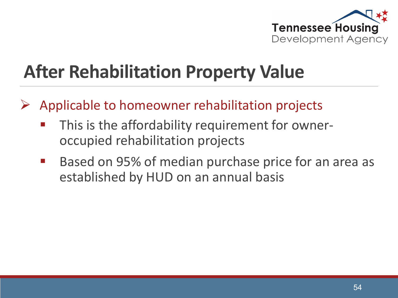

# **After Rehabilitation Property Value**

- Applicable to homeowner rehabilitation projects
	- This is the affordability requirement for owneroccupied rehabilitation projects
	- Based on 95% of median purchase price for an area as established by HUD on an annual basis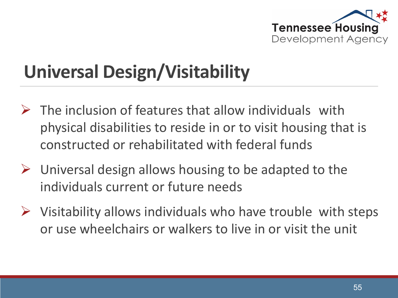

# **Universal Design/Visitability**

- $\triangleright$  The inclusion of features that allow individuals with physical disabilities to reside in or to visit housing that is constructed or rehabilitated with federal funds
- $\triangleright$  Universal design allows housing to be adapted to the individuals current or future needs
- $\triangleright$  Visitability allows individuals who have trouble with steps or use wheelchairs or walkers to live in or visit the unit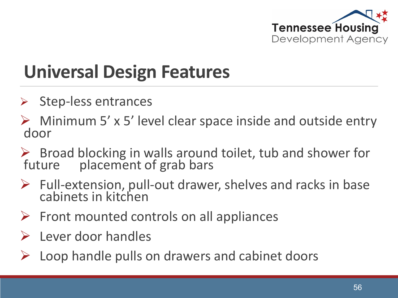

# **Universal Design Features**

- $\triangleright$  Step-less entrances
- $\triangleright$  Minimum 5' x 5' level clear space inside and outside entry door
- $\triangleright$  Broad blocking in walls around toilet, tub and shower for future placement of grab bars placement of grab bars
- $\triangleright$  Full-extension, pull-out drawer, shelves and racks in base cabinets in kitchen
- $\triangleright$  Front mounted controls on all appliances
- $\triangleright$  Lever door handles
- Loop handle pulls on drawers and cabinet doors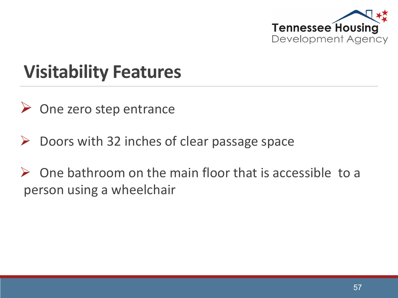

### **Visitability Features**

- $\triangleright$  One zero step entrance
- $\triangleright$  Doors with 32 inches of clear passage space
- $\triangleright$  One bathroom on the main floor that is accessible to a person using a wheelchair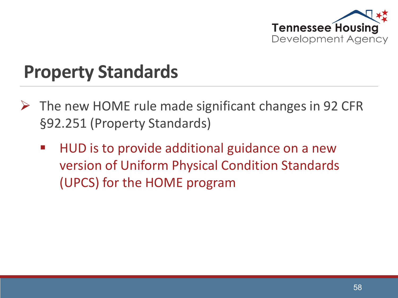

- $\triangleright$  The new HOME rule made significant changes in 92 CFR §92.251 (Property Standards)
	- HUD is to provide additional guidance on a new version of Uniform Physical Condition Standards (UPCS) for the HOME program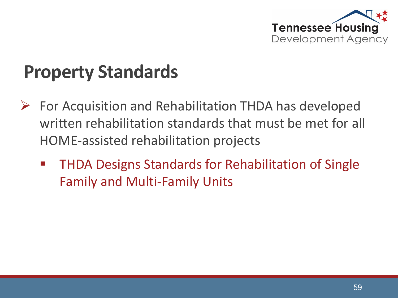

- For Acquisition and Rehabilitation THDA has developed written rehabilitation standards that must be met for all HOME-assisted rehabilitation projects
	- THDA Designs Standards for Rehabilitation of Single Family and Multi-Family Units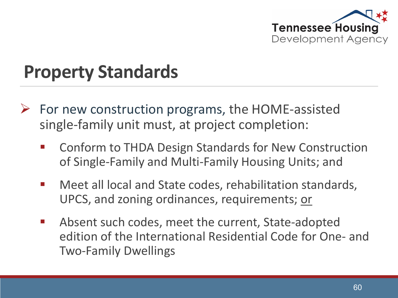

- $\triangleright$  For new construction programs, the HOME-assisted single-family unit must, at project completion:
	- Conform to THDA Design Standards for New Construction of Single-Family and Multi-Family Housing Units; and
	- Meet all local and State codes, rehabilitation standards, UPCS, and zoning ordinances, requirements; or
	- **Absent such codes, meet the current, State-adopted** edition of the International Residential Code for One- and Two-Family Dwellings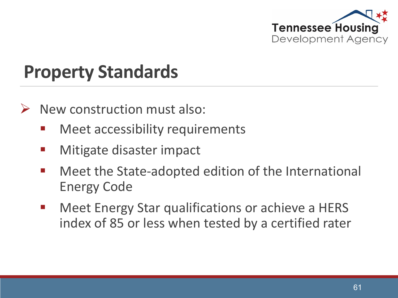

- New construction must also:
	- Meet accessibility requirements
	- **Mitigate disaster impact**
	- **Meet the State-adopted edition of the International** Energy Code
	- Meet Energy Star qualifications or achieve a HERS index of 85 or less when tested by a certified rater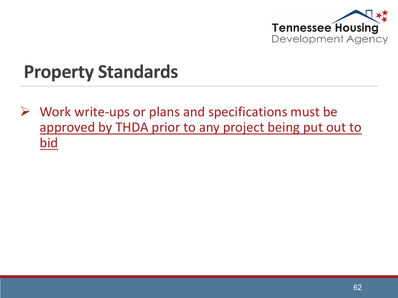

 $\triangleright$  Work write-ups or plans and specifications must be approved by THDA prior to any project being put out to bid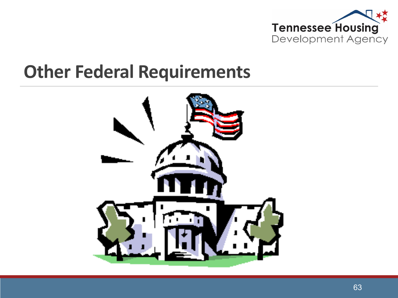

#### **Other Federal Requirements**

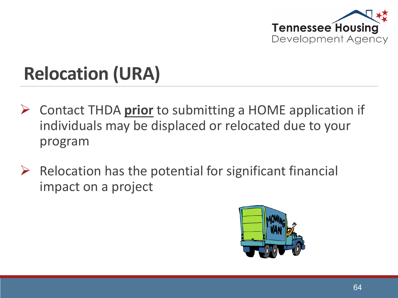

# **Relocation (URA)**

- Contact THDA **prior** to submitting a HOME application if individuals may be displaced or relocated due to your program
- $\triangleright$  Relocation has the potential for significant financial impact on a project

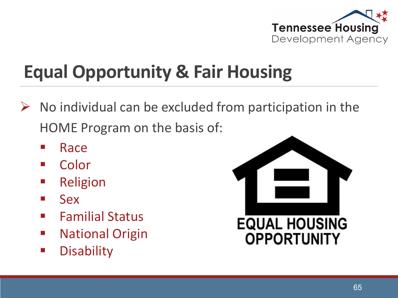

# **Equal Opportunity & Fair Housing**

- $\triangleright$  No individual can be excluded from participation in the HOME Program on the basis of:
	- **Race**
	- Color
	- **Religion**
	- **Sex**
	- **Familial Status**
	- **National Origin**
	- **Disability**

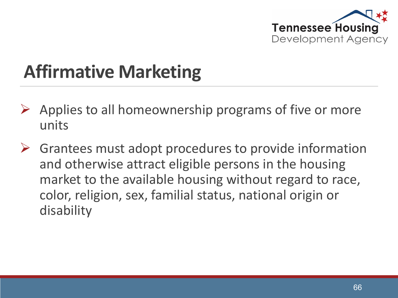

# **Affirmative Marketing**

- $\triangleright$  Applies to all homeownership programs of five or more units
- $\triangleright$  Grantees must adopt procedures to provide information and otherwise attract eligible persons in the housing market to the available housing without regard to race, color, religion, sex, familial status, national origin or disability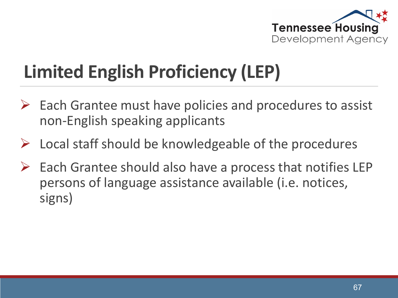

# **Limited English Proficiency (LEP)**

- $\triangleright$  Each Grantee must have policies and procedures to assist non-English speaking applicants
- $\triangleright$  Local staff should be knowledgeable of the procedures
- $\triangleright$  Each Grantee should also have a process that notifies LEP persons of language assistance available (i.e. notices, signs)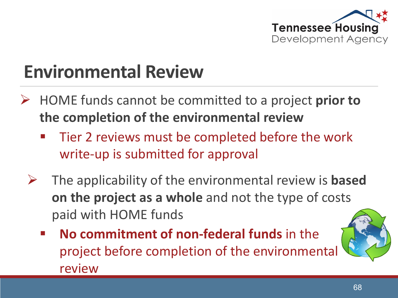

# **Environmental Review**

- HOME funds cannot be committed to a project **prior to the completion of the environmental review**
	- Tier 2 reviews must be completed before the work write-up is submitted for approval
	- The applicability of the environmental review is **based on the project as a whole** and not the type of costs paid with HOME funds
		- **No commitment of non-federal funds** in the project before completion of the environmental review

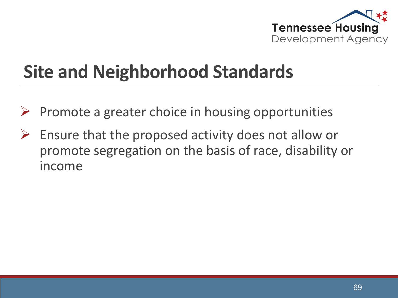

# **Site and Neighborhood Standards**

- Promote a greater choice in housing opportunities
- $\triangleright$  Ensure that the proposed activity does not allow or promote segregation on the basis of race, disability or income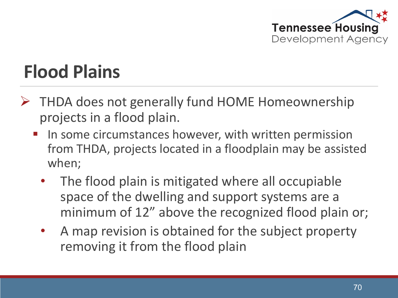

# **Flood Plains**

- $\triangleright$  THDA does not generally fund HOME Homeownership projects in a flood plain.
	- In some circumstances however, with written permission from THDA, projects located in a floodplain may be assisted when;
		- The flood plain is mitigated where all occupiable space of the dwelling and support systems are a minimum of 12" above the recognized flood plain or;
		- A map revision is obtained for the subject property removing it from the flood plain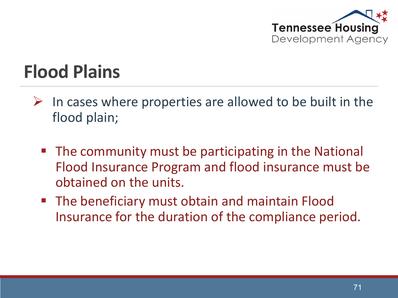

# **Flood Plains**

- $\triangleright$  In cases where properties are allowed to be built in the flood plain;
	- The community must be participating in the National Flood Insurance Program and flood insurance must be obtained on the units.
	- **The beneficiary must obtain and maintain Flood** Insurance for the duration of the compliance period.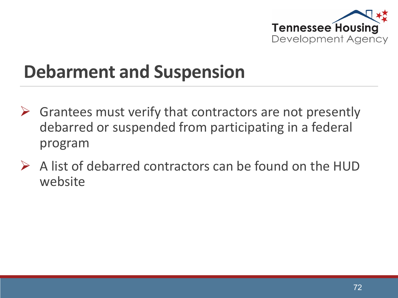

# **Debarment and Suspension**

- $\triangleright$  Grantees must verify that contractors are not presently debarred or suspended from participating in a federal program
- $\triangleright$  A list of debarred contractors can be found on the HUD website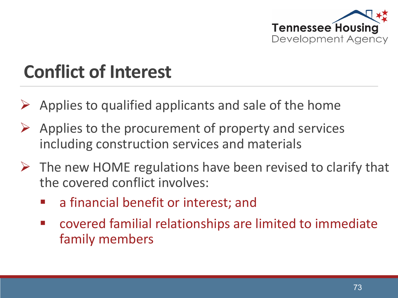

# **Conflict of Interest**

- Applies to qualified applicants and sale of the home
- $\triangleright$  Applies to the procurement of property and services including construction services and materials
- $\triangleright$  The new HOME regulations have been revised to clarify that the covered conflict involves:
	- a financial benefit or interest; and
	- covered familial relationships are limited to immediate family members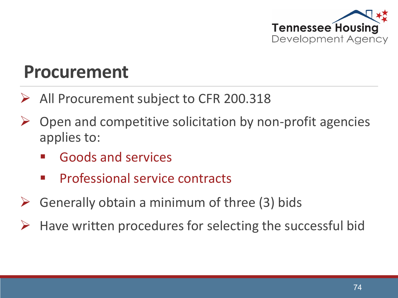

### **Procurement**

- All Procurement subject to CFR 200.318
- Open and competitive solicitation by non-profit agencies applies to:
	- Goods and services
	- Professional service contracts
- Generally obtain a minimum of three (3) bids
- Have written procedures for selecting the successful bid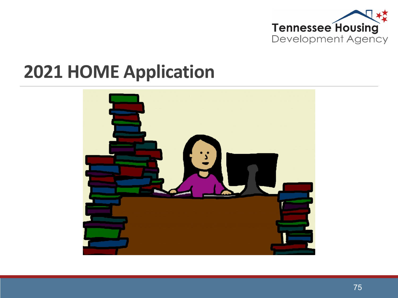

### **2021 HOME Application**

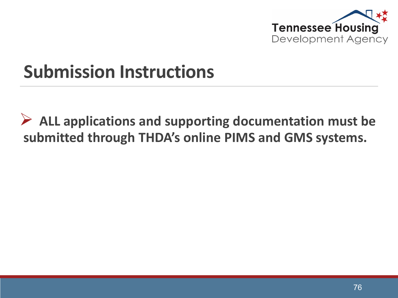

### **Submission Instructions**

 **ALL applications and supporting documentation must be submitted through THDA's online PIMS and GMS systems.**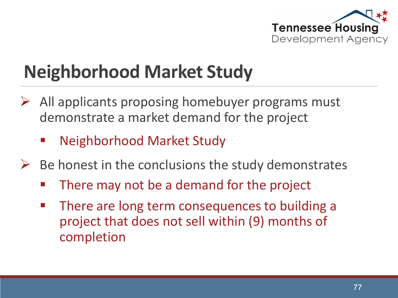

# **Neighborhood Market Study**

- All applicants proposing homebuyer programs must demonstrate a market demand for the project
	- Neighborhood Market Study
- $\triangleright$  Be honest in the conclusions the study demonstrates
	- There may not be a demand for the project
	- **There are long term consequences to building a** project that does not sell within (9) months of completion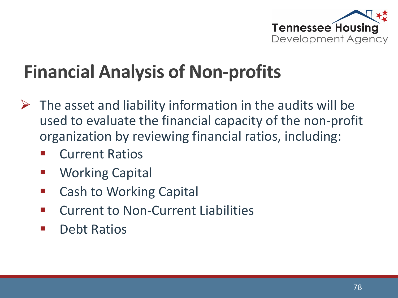

# **Financial Analysis of Non-profits**

- $\triangleright$  The asset and liability information in the audits will be used to evaluate the financial capacity of the non-profit organization by reviewing financial ratios, including:
	- Current Ratios
	- Working Capital
	- Cash to Working Capital
	- **E** Current to Non-Current Liabilities
	- Debt Ratios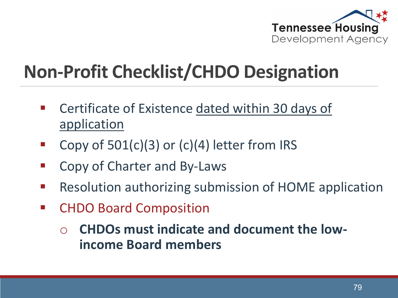

## **Non-Profit Checklist/CHDO Designation**

- Certificate of Existence dated within 30 days of application
- Copy of  $501(c)(3)$  or  $(c)(4)$  letter from IRS
- Copy of Charter and By-Laws
- **Resolution authorizing submission of HOME application**
- CHDO Board Composition
	- o **CHDOs must indicate and document the lowincome Board members**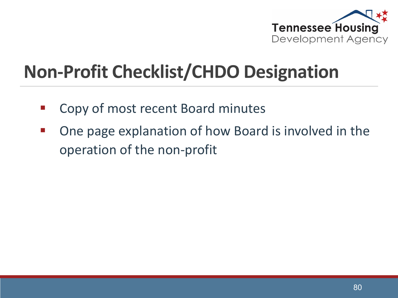

## **Non-Profit Checklist/CHDO Designation**

- Copy of most recent Board minutes
- One page explanation of how Board is involved in the operation of the non-profit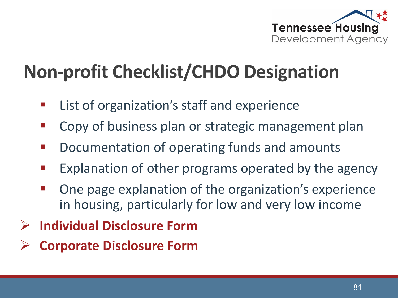

# **Non-profit Checklist/CHDO Designation**

- List of organization's staff and experience
- **E** Copy of business plan or strategic management plan
- Documentation of operating funds and amounts
- **Explanation of other programs operated by the agency**
- One page explanation of the organization's experience in housing, particularly for low and very low income
- **Individual Disclosure Form**
- **Corporate Disclosure Form**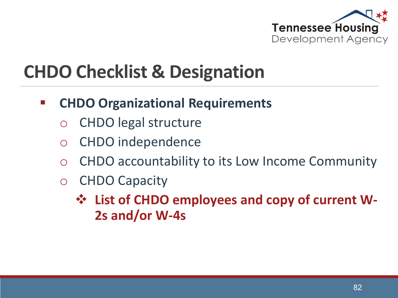

## **CHDO Checklist & Designation**

#### **E** CHDO Organizational Requirements

- o CHDO legal structure
- o CHDO independence
- o CHDO accountability to its Low Income Community
- o CHDO Capacity
	- **☆ List of CHDO employees and copy of current W-2s and/or W-4s**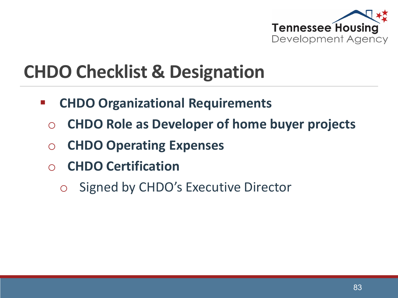

## **CHDO Checklist & Designation**

- **CHDO Organizational Requirements**
	- o **CHDO Role as Developer of home buyer projects**
	- o **CHDO Operating Expenses**
	- o **CHDO Certification**
		- o Signed by CHDO's Executive Director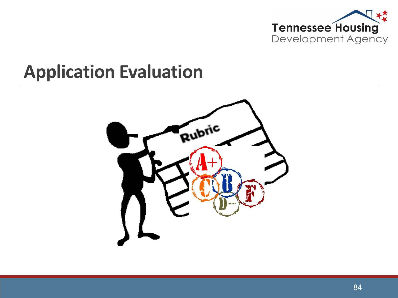

### **Application Evaluation**

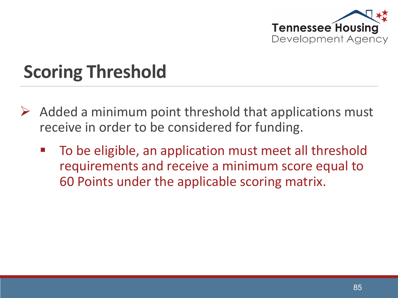

# **Scoring Threshold**

- $\triangleright$  Added a minimum point threshold that applications must receive in order to be considered for funding.
	- To be eligible, an application must meet all threshold requirements and receive a minimum score equal to 60 Points under the applicable scoring matrix.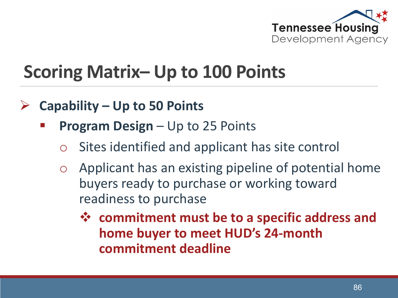

## **Scoring Matrix– Up to 100 Points**

- **Capability – Up to 50 Points**
	- **Program Design**  Up to 25 Points
		- o Sites identified and applicant has site control
		- o Applicant has an existing pipeline of potential home buyers ready to purchase or working toward readiness to purchase
			- **commitment must be to a specific address and home buyer to meet HUD's 24-month commitment deadline**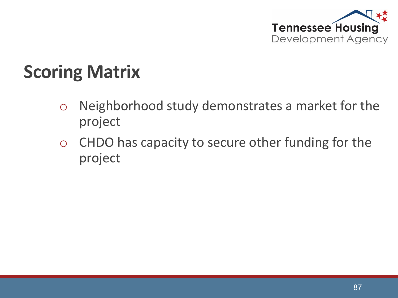

- o Neighborhood study demonstrates a market for the project
- o CHDO has capacity to secure other funding for the project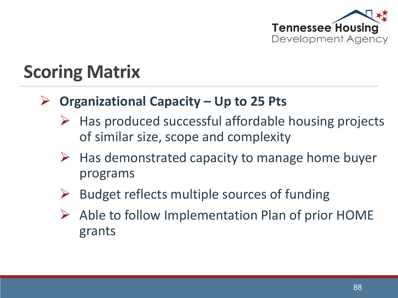

#### **Organizational Capacity – Up to 25 Pts**

- $\triangleright$  Has produced successful affordable housing projects of similar size, scope and complexity
- $\triangleright$  Has demonstrated capacity to manage home buyer programs
- $\triangleright$  Budget reflects multiple sources of funding
- $\triangleright$  Able to follow Implementation Plan of prior HOME grants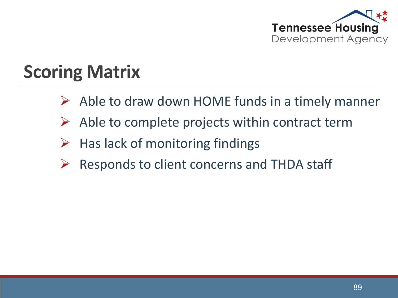

- $\triangleright$  Able to draw down HOME funds in a timely manner
- $\triangleright$  Able to complete projects within contract term
- $\triangleright$  Has lack of monitoring findings
- $\triangleright$  Responds to client concerns and THDA staff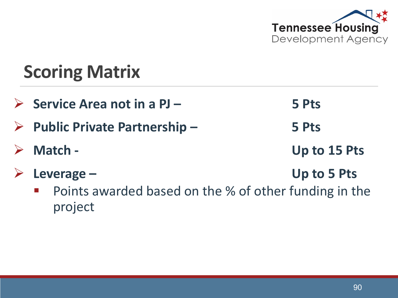

 **Service Area not in a PJ – 5 Pts Public Private Partnership – 5 Pts Match - Up to 15 Pts Leverage – Up to 5 Pts** Points awarded based on the % of other funding in the project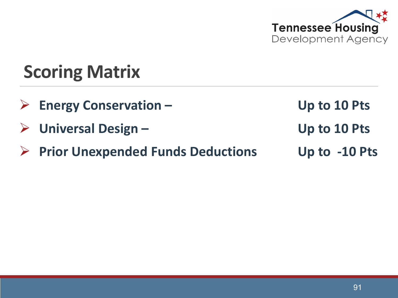

- **Energy Conservation – Up to 10 Pts**
- **Universal Design – Up to 10 Pts**
- **Prior Unexpended Funds Deductions Up to -10 Pts**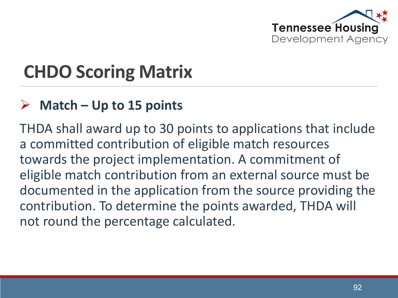

## **CHDO Scoring Matrix**

#### **Match – Up to 15 points**

THDA shall award up to 30 points to applications that include a committed contribution of eligible match resources towards the project implementation. A commitment of eligible match contribution from an external source must be documented in the application from the source providing the contribution. To determine the points awarded, THDA will not round the percentage calculated.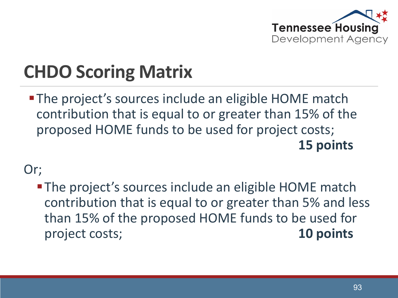

# **CHDO Scoring Matrix**

**- The project's sources include an eligible HOME match** contribution that is equal to or greater than 15% of the proposed HOME funds to be used for project costs; **15 points** 

Or;

**-The project's sources include an eligible HOME match** contribution that is equal to or greater than 5% and less than 15% of the proposed HOME funds to be used for project costs; **10 points**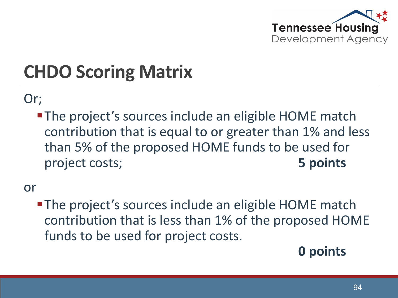

# **CHDO Scoring Matrix**

Or;

**-The project's sources include an eligible HOME match** contribution that is equal to or greater than 1% and less than 5% of the proposed HOME funds to be used for project costs; **5 points** 

or

**-The project's sources include an eligible HOME match** contribution that is less than 1% of the proposed HOME funds to be used for project costs.

#### **0 points**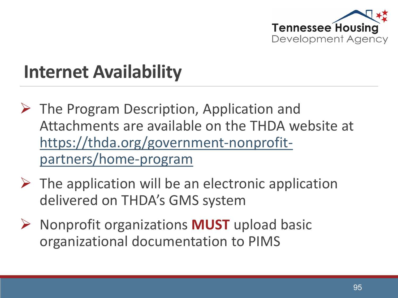

## **Internet Availability**

- $\triangleright$  The Program Description, Application and Attachments are available on the THDA website at [https://thda.org/government-nonprofit](https://thda.org/government-nonprofit-partners/home-program)partners/home-program
- $\triangleright$  The application will be an electronic application delivered on THDA's GMS system
- **▶ Nonprofit organizations MUST upload basic** organizational documentation to PIMS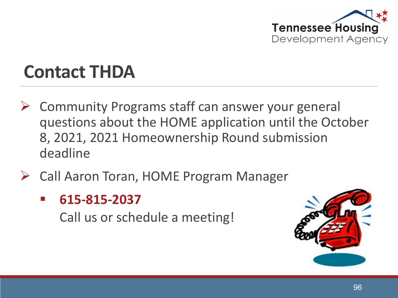

### **Contact THDA**

- $\triangleright$  Community Programs staff can answer your general questions about the HOME application until the October 8, 2021, 2021 Homeownership Round submission deadline
- Call Aaron Toran, HOME Program Manager
	- **615-815-2037**

Call us or schedule a meeting!

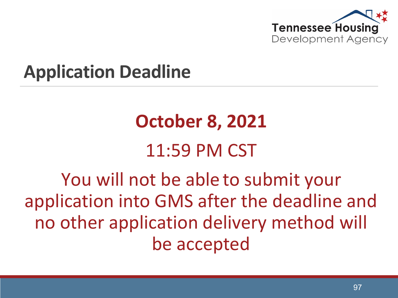

### **Application Deadline**

# **October 8, 2021** 11:59 PM CST

You will not be able to submit your application into GMS after the deadline and no other application delivery method will be accepted